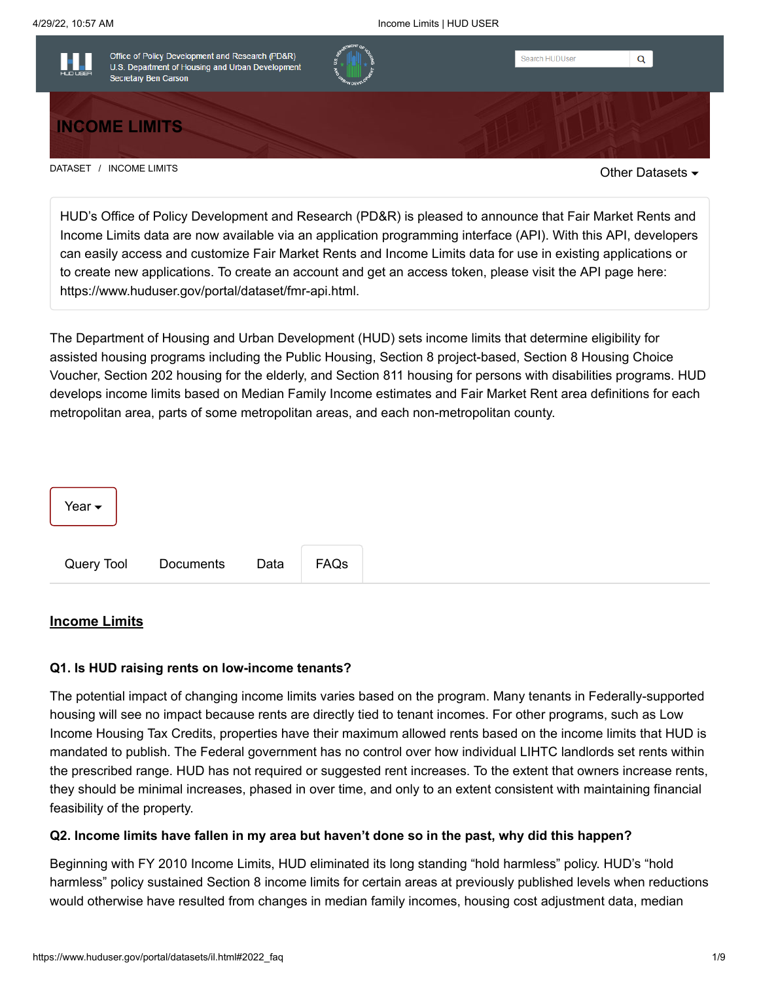

HUD's Office of Policy Development and Research (PD&R) is pleased to announce that Fair Market Rents and Income Limits data are now available via an application programming interface (API). With this API, developers can easily access and customize Fair Market Rents and Income Limits data for use in existing applications or to create new applications. To create an account and get an access token, please visit the API page here: <https://www.huduser.gov/portal/dataset/fmr-api.html>.

The Department of Housing and Urban Development (HUD) sets income limits that determine eligibility for assisted housing programs including the Public Housing, Section 8 project-based, Section 8 Housing Choice Voucher, Section 202 housing for the elderly, and Section 811 housing for persons with disabilities programs. HUD develops income limits based on Median Family Income estimates and Fair Market Rent area definitions for each metropolitan area, parts of some metropolitan areas, and each non-metropolitan county.



### <span id="page-0-0"></span>**Income Limits**

### **Q1. Is HUD raising rents on low-income tenants?**

The potential impact of changing income limits varies based on the program. Many tenants in Federally-supported housing will see no impact because rents are directly tied to tenant incomes. For other programs, such as Low Income Housing Tax Credits, properties have their maximum allowed rents based on the income limits that HUD is mandated to publish. The Federal government has no control over how individual LIHTC landlords set rents within the prescribed range. HUD has not required or suggested rent increases. To the extent that owners increase rents, they should be minimal increases, phased in over time, and only to an extent consistent with maintaining financial feasibility of the property.

### **Q2. Income limits have fallen in my area but haven't done so in the past, why did this happen?**

Beginning with FY 2010 Income Limits, HUD eliminated its long standing "hold harmless" policy. HUD's "hold harmless" policy sustained Section 8 income limits for certain areas at previously published levels when reductions would otherwise have resulted from changes in median family incomes, housing cost adjustment data, median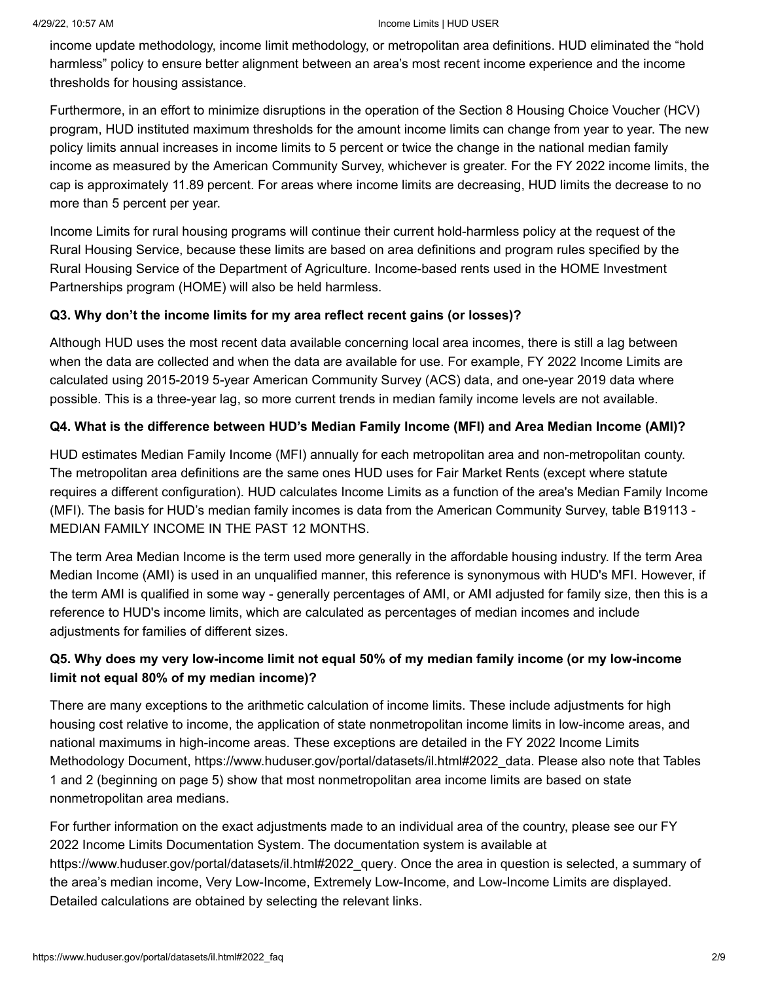income update methodology, income limit methodology, or metropolitan area definitions. HUD eliminated the "hold harmless" policy to ensure better alignment between an area's most recent income experience and the income thresholds for housing assistance.

Furthermore, in an effort to minimize disruptions in the operation of the Section 8 Housing Choice Voucher (HCV) program, HUD instituted maximum thresholds for the amount income limits can change from year to year. The new policy limits annual increases in income limits to 5 percent or twice the change in the national median family income as measured by the American Community Survey, whichever is greater. For the FY 2022 income limits, the cap is approximately 11.89 percent. For areas where income limits are decreasing, HUD limits the decrease to no more than 5 percent per year.

Income Limits for rural housing programs will continue their current hold-harmless policy at the request of the Rural Housing Service, because these limits are based on area definitions and program rules specified by the Rural Housing Service of the Department of Agriculture. Income-based rents used in the HOME Investment Partnerships program (HOME) will also be held harmless.

### **Q3. Why don't the income limits for my area reflect recent gains (or losses)?**

Although HUD uses the most recent data available concerning local area incomes, there is still a lag between when the data are collected and when the data are available for use. For example, FY 2022 Income Limits are calculated using 2015-2019 5-year American Community Survey (ACS) data, and one-year 2019 data where possible. This is a three-year lag, so more current trends in median family income levels are not available.

### **Q4. What is the difference between HUD's Median Family Income (MFI) and Area Median Income (AMI)?**

HUD estimates Median Family Income (MFI) annually for each metropolitan area and non-metropolitan county. The metropolitan area definitions are the same ones HUD uses for Fair Market Rents (except where statute requires a different configuration). HUD calculates Income Limits as a function of the area's Median Family Income (MFI). The basis for HUD's median family incomes is data from the American Community Survey, table B19113 - MEDIAN FAMILY INCOME IN THE PAST 12 MONTHS.

The term Area Median Income is the term used more generally in the affordable housing industry. If the term Area Median Income (AMI) is used in an unqualified manner, this reference is synonymous with HUD's MFI. However, if the term AMI is qualified in some way - generally percentages of AMI, or AMI adjusted for family size, then this is a reference to HUD's income limits, which are calculated as percentages of median incomes and include adjustments for families of different sizes.

# **Q5. Why does my very low-income limit not equal 50% of my median family income (or my low-income limit not equal 80% of my median income)?**

There are many exceptions to the arithmetic calculation of income limits. These include adjustments for high housing cost relative to income, the application of state nonmetropolitan income limits in low-income areas, and national maximums in high-income areas. These exceptions are detailed in the FY 2022 Income Limits Methodology Document, https://www.huduser.gov/portal/datasets/il.html#2022\_data. Please also note that Tables 1 and 2 (beginning on page 5) show that most nonmetropolitan area income limits are based on state nonmetropolitan area medians.

For further information on the exact adjustments made to an individual area of the country, please see our FY 2022 Income Limits Documentation System. The documentation system is available at https://www.huduser.gov/portal/datasets/il.html#2022\_query. Once the area in question is selected, a summary of the area's median income, Very Low-Income, Extremely Low-Income, and Low-Income Limits are displayed. Detailed calculations are obtained by selecting the relevant links.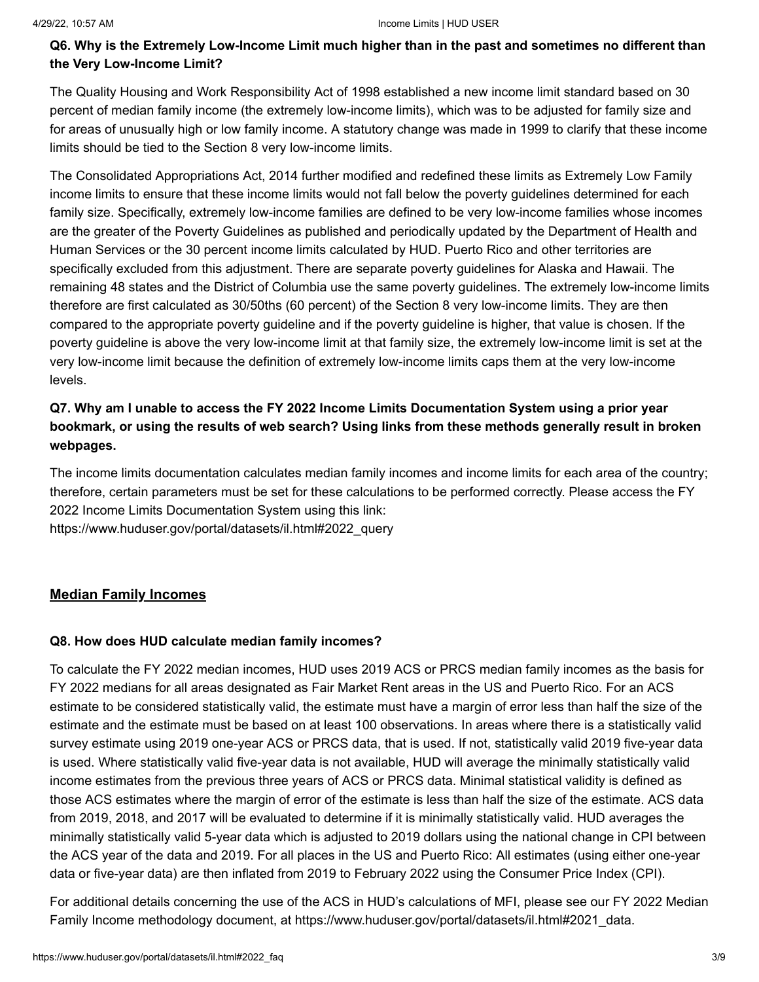### **Q6. Why is the Extremely Low-Income Limit much higher than in the past and sometimes no different than the Very Low-Income Limit?**

The Quality Housing and Work Responsibility Act of 1998 established a new income limit standard based on 30 percent of median family income (the extremely low-income limits), which was to be adjusted for family size and for areas of unusually high or low family income. A statutory change was made in 1999 to clarify that these income limits should be tied to the Section 8 very low-income limits.

The Consolidated Appropriations Act, 2014 further modified and redefined these limits as Extremely Low Family income limits to ensure that these income limits would not fall below the poverty guidelines determined for each family size. Specifically, extremely low-income families are defined to be very low-income families whose incomes are the greater of the Poverty Guidelines as published and periodically updated by the Department of Health and Human Services or the 30 percent income limits calculated by HUD. Puerto Rico and other territories are specifically excluded from this adjustment. There are separate poverty guidelines for Alaska and Hawaii. The remaining 48 states and the District of Columbia use the same poverty guidelines. The extremely low-income limits therefore are first calculated as 30/50ths (60 percent) of the Section 8 very low-income limits. They are then compared to the appropriate poverty guideline and if the poverty guideline is higher, that value is chosen. If the poverty guideline is above the very low-income limit at that family size, the extremely low-income limit is set at the very low-income limit because the definition of extremely low-income limits caps them at the very low-income levels.

# **Q7. Why am I unable to access the FY 2022 Income Limits Documentation System using a prior year bookmark, or using the results of web search? Using links from these methods generally result in broken webpages.**

The income limits documentation calculates median family incomes and income limits for each area of the country; therefore, certain parameters must be set for these calculations to be performed correctly. Please access the FY 2022 Income Limits Documentation System using this link:

https://www.huduser.gov/portal/datasets/il.html#2022\_query

### **Median Family Incomes**

### **Q8. How does HUD calculate median family incomes?**

To calculate the FY 2022 median incomes, HUD uses 2019 ACS or PRCS median family incomes as the basis for FY 2022 medians for all areas designated as Fair Market Rent areas in the US and Puerto Rico. For an ACS estimate to be considered statistically valid, the estimate must have a margin of error less than half the size of the estimate and the estimate must be based on at least 100 observations. In areas where there is a statistically valid survey estimate using 2019 one-year ACS or PRCS data, that is used. If not, statistically valid 2019 five-year data is used. Where statistically valid five-year data is not available, HUD will average the minimally statistically valid income estimates from the previous three years of ACS or PRCS data. Minimal statistical validity is defined as those ACS estimates where the margin of error of the estimate is less than half the size of the estimate. ACS data from 2019, 2018, and 2017 will be evaluated to determine if it is minimally statistically valid. HUD averages the minimally statistically valid 5-year data which is adjusted to 2019 dollars using the national change in CPI between the ACS year of the data and 2019. For all places in the US and Puerto Rico: All estimates (using either one-year data or five-year data) are then inflated from 2019 to February 2022 using the Consumer Price Index (CPI).

For additional details concerning the use of the ACS in HUD's calculations of MFI, please see our FY 2022 Median Family Income methodology document, at https://www.huduser.gov/portal/datasets/il.html#2021\_data.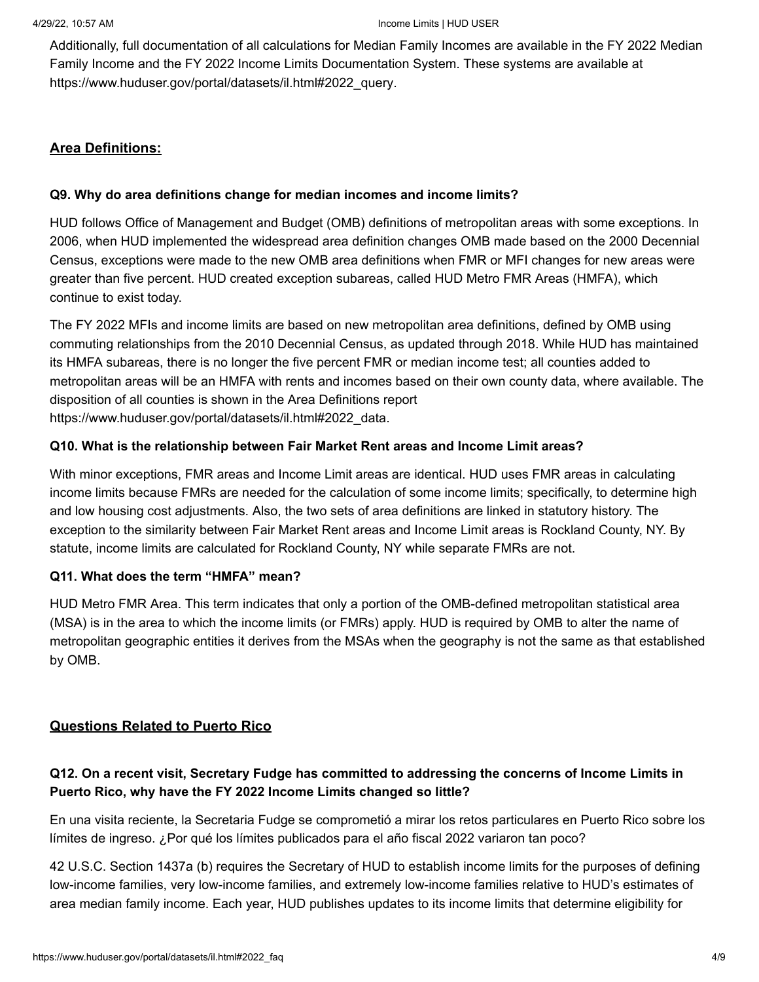Additionally, full documentation of all calculations for Median Family Incomes are available in the FY 2022 Median Family Income and the FY 2022 Income Limits Documentation System. These systems are available at https://www.huduser.gov/portal/datasets/il.html#2022\_query.

### **Area Definitions:**

### **Q9. Why do area definitions change for median incomes and income limits?**

HUD follows Office of Management and Budget (OMB) definitions of metropolitan areas with some exceptions. In 2006, when HUD implemented the widespread area definition changes OMB made based on the 2000 Decennial Census, exceptions were made to the new OMB area definitions when FMR or MFI changes for new areas were greater than five percent. HUD created exception subareas, called HUD Metro FMR Areas (HMFA), which continue to exist today.

The FY 2022 MFIs and income limits are based on new metropolitan area definitions, defined by OMB using commuting relationships from the 2010 Decennial Census, as updated through 2018. While HUD has maintained its HMFA subareas, there is no longer the five percent FMR or median income test; all counties added to metropolitan areas will be an HMFA with rents and incomes based on their own county data, where available. The disposition of all counties is shown in the Area Definitions report https://www.huduser.gov/portal/datasets/il.html#2022\_data.

### **Q10. What is the relationship between Fair Market Rent areas and Income Limit areas?**

With minor exceptions, FMR areas and Income Limit areas are identical. HUD uses FMR areas in calculating income limits because FMRs are needed for the calculation of some income limits; specifically, to determine high and low housing cost adjustments. Also, the two sets of area definitions are linked in statutory history. The exception to the similarity between Fair Market Rent areas and Income Limit areas is Rockland County, NY. By statute, income limits are calculated for Rockland County, NY while separate FMRs are not.

### **Q11. What does the term "HMFA" mean?**

HUD Metro FMR Area. This term indicates that only a portion of the OMB-defined metropolitan statistical area (MSA) is in the area to which the income limits (or FMRs) apply. HUD is required by OMB to alter the name of metropolitan geographic entities it derives from the MSAs when the geography is not the same as that established by OMB.

# **Questions Related to Puerto Rico**

# **Q12. On a recent visit, Secretary Fudge has committed to addressing the concerns of Income Limits in Puerto Rico, why have the FY 2022 Income Limits changed so little?**

En una visita reciente, la Secretaria Fudge se comprometió a mirar los retos particulares en Puerto Rico sobre los límites de ingreso. ¿Por qué los límites publicados para el año fiscal 2022 variaron tan poco?

42 U.S.C. Section 1437a (b) requires the Secretary of HUD to establish income limits for the purposes of defining low-income families, very low-income families, and extremely low-income families relative to HUD's estimates of area median family income. Each year, HUD publishes updates to its income limits that determine eligibility for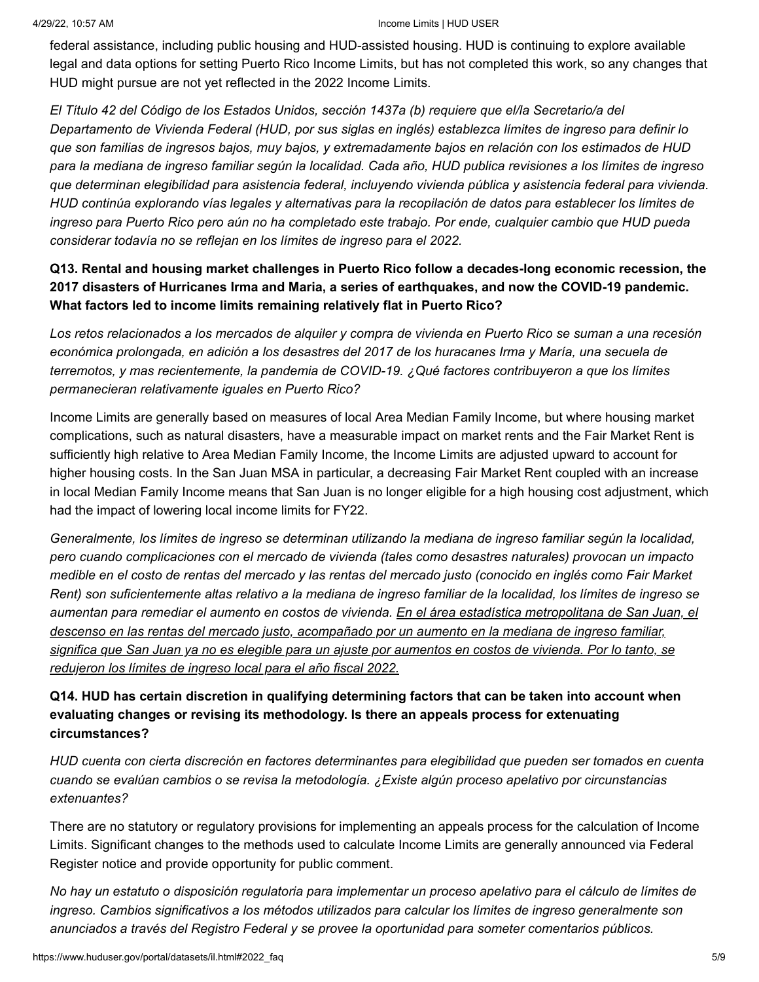#### 4/29/22, 10:57 AM Income Limits | HUD USER

federal assistance, including public housing and HUD-assisted housing. HUD is continuing to explore available legal and data options for setting Puerto Rico Income Limits, but has not completed this work, so any changes that HUD might pursue are not yet reflected in the 2022 Income Limits.

*El Título 42 del Código de los Estados Unidos, sección 1437a (b) requiere que el/la Secretario/a del Departamento de Vivienda Federal (HUD, por sus siglas en inglés) establezca límites de ingreso para definir lo que son familias de ingresos bajos, muy bajos, y extremadamente bajos en relación con los estimados de HUD para la mediana de ingreso familiar según la localidad. Cada año, HUD publica revisiones a los límites de ingreso que determinan elegibilidad para asistencia federal, incluyendo vivienda pública y asistencia federal para vivienda. HUD continúa explorando vías legales y alternativas para la recopilación de datos para establecer los límites de ingreso para Puerto Rico pero aún no ha completado este trabajo. Por ende, cualquier cambio que HUD pueda considerar todavía no se reflejan en los límites de ingreso para el 2022.*

# **Q13. Rental and housing market challenges in Puerto Rico follow a decades-long economic recession, the 2017 disasters of Hurricanes Irma and Maria, a series of earthquakes, and now the COVID-19 pandemic. What factors led to income limits remaining relatively flat in Puerto Rico?**

*Los retos relacionados a los mercados de alquiler y compra de vivienda en Puerto Rico se suman a una recesión económica prolongada, en adición a los desastres del 2017 de los huracanes Irma y María, una secuela de terremotos, y mas recientemente, la pandemia de COVID-19. ¿Qué factores contribuyeron a que los límites permanecieran relativamente iguales en Puerto Rico?*

Income Limits are generally based on measures of local Area Median Family Income, but where housing market complications, such as natural disasters, have a measurable impact on market rents and the Fair Market Rent is sufficiently high relative to Area Median Family Income, the Income Limits are adjusted upward to account for higher housing costs. In the San Juan MSA in particular, a decreasing Fair Market Rent coupled with an increase in local Median Family Income means that San Juan is no longer eligible for a high housing cost adjustment, which had the impact of lowering local income limits for FY22.

*Generalmente, los límites de ingreso se determinan utilizando la mediana de ingreso familiar según la localidad, pero cuando complicaciones con el mercado de vivienda (tales como desastres naturales) provocan un impacto medible en el costo de rentas del mercado y las rentas del mercado justo (conocido en inglés como Fair Market Rent) son suficientemente altas relativo a la mediana de ingreso familiar de la localidad, los límites de ingreso se aumentan para remediar el aumento en costos de vivienda. En el área estadística metropolitana de San Juan, el descenso en las rentas del mercado justo, acompañado por un aumento en la mediana de ingreso familiar, significa que San Juan ya no es elegible para un ajuste por aumentos en costos de vivienda. Por lo tanto, se redujeron los límites de ingreso local para el año fiscal 2022.*

# **Q14. HUD has certain discretion in qualifying determining factors that can be taken into account when evaluating changes or revising its methodology. Is there an appeals process for extenuating circumstances?**

*HUD cuenta con cierta discreción en factores determinantes para elegibilidad que pueden ser tomados en cuenta cuando se evalúan cambios o se revisa la metodología. ¿Existe algún proceso apelativo por circunstancias extenuantes?*

There are no statutory or regulatory provisions for implementing an appeals process for the calculation of Income Limits. Significant changes to the methods used to calculate Income Limits are generally announced via Federal Register notice and provide opportunity for public comment.

*No hay un estatuto o disposición regulatoria para implementar un proceso apelativo para el cálculo de límites de ingreso. Cambios significativos a los métodos utilizados para calcular los límites de ingreso generalmente son anunciados a través del Registro Federal y se provee la oportunidad para someter comentarios públicos.*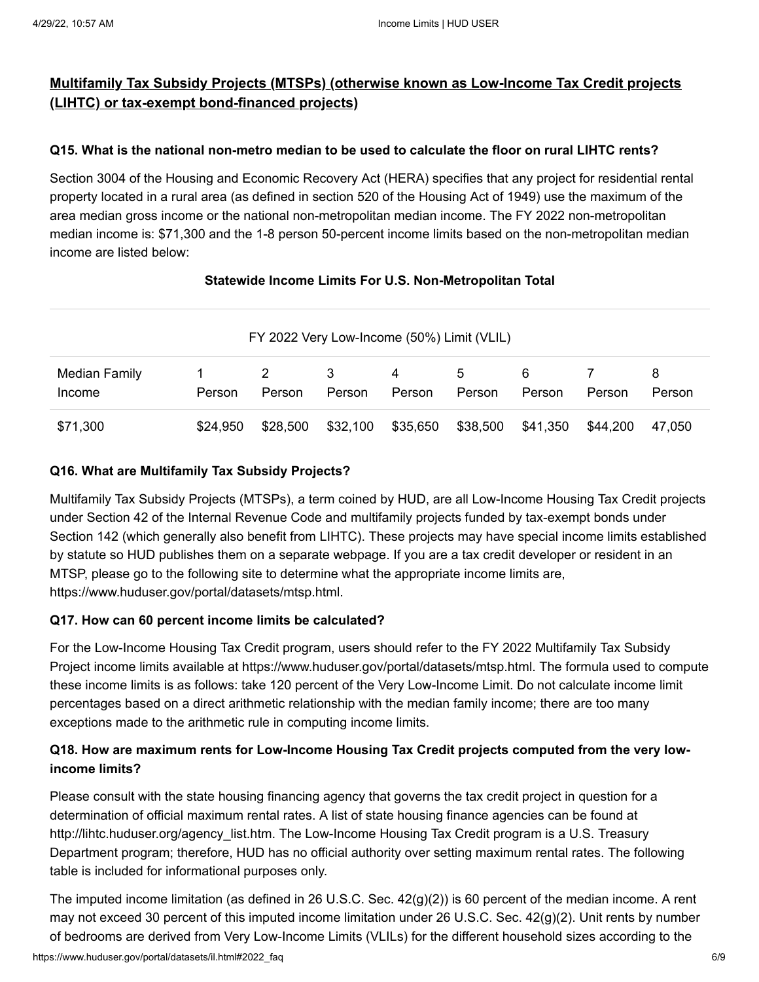# **Multifamily Tax Subsidy Projects (MTSPs) (otherwise known as Low-Income Tax Credit projects (LIHTC) or tax-exempt bond-financed projects)**

### **Q15. What is the national non-metro median to be used to calculate the floor on rural LIHTC rents?**

Section 3004 of the Housing and Economic Recovery Act (HERA) specifies that any project for residential rental property located in a rural area (as defined in section 520 of the Housing Act of 1949) use the maximum of the area median gross income or the national non-metropolitan median income. The FY 2022 non-metropolitan median income is: \$71,300 and the 1-8 person 50-percent income limits based on the non-metropolitan median income are listed below:

### **Statewide Income Limits For U.S. Non-Metropolitan Total**

| FY 2022 Very Low-Income (50%) Limit (VLIL) |          |          |          |             |                       |             |          |        |  |  |  |
|--------------------------------------------|----------|----------|----------|-------------|-----------------------|-------------|----------|--------|--|--|--|
| Median Family<br>Income                    | Person   | Person   | Person   | 4<br>Person | $5^{\circ}$<br>Person | 6<br>Person | Person   | Person |  |  |  |
| \$71,300                                   | \$24,950 | \$28,500 | \$32,100 | \$35,650    | \$38,500              | \$41,350    | \$44,200 | 47.050 |  |  |  |

### **Q16. What are Multifamily Tax Subsidy Projects?**

Multifamily Tax Subsidy Projects (MTSPs), a term coined by HUD, are all Low-Income Housing Tax Credit projects under Section 42 of the Internal Revenue Code and multifamily projects funded by tax-exempt bonds under Section 142 (which generally also benefit from LIHTC). These projects may have special income limits established by statute so HUD publishes them on a separate webpage. If you are a tax credit developer or resident in an MTSP, please go to the following site to determine what the appropriate income limits are, <https://www.huduser.gov/portal/datasets/mtsp.html>.

### **Q17. How can 60 percent income limits be calculated?**

For the Low-Income Housing Tax Credit program, users should refer to the FY 2022 Multifamily Tax Subsidy Project income limits available at [https://www.huduser.gov/portal/datasets/mtsp.html.](https://www.huduser.gov/portal/datasets/mtsp.html) The formula used to compute these income limits is as follows: take 120 percent of the Very Low-Income Limit. Do not calculate income limit percentages based on a direct arithmetic relationship with the median family income; there are too many exceptions made to the arithmetic rule in computing income limits.

### **Q18. How are maximum rents for Low-Income Housing Tax Credit projects computed from the very lowincome limits?**

Please consult with the state housing financing agency that governs the tax credit project in question for a determination of official maximum rental rates. A list of state housing finance agencies can be found at [http://lihtc.huduser.org/agency\\_list.htm](http://lihtc.huduser.org/agency_list.htm). The Low-Income Housing Tax Credit program is a U.S. Treasury Department program; therefore, HUD has no official authority over setting maximum rental rates. The following table is included for informational purposes only.

The imputed income limitation (as defined in 26 U.S.C. Sec. 42(g)(2)) is 60 percent of the median income. A rent may not exceed 30 percent of this imputed income limitation under 26 U.S.C. Sec. 42(g)(2). Unit rents by number of bedrooms are derived from Very Low-Income Limits (VLILs) for the different household sizes according to the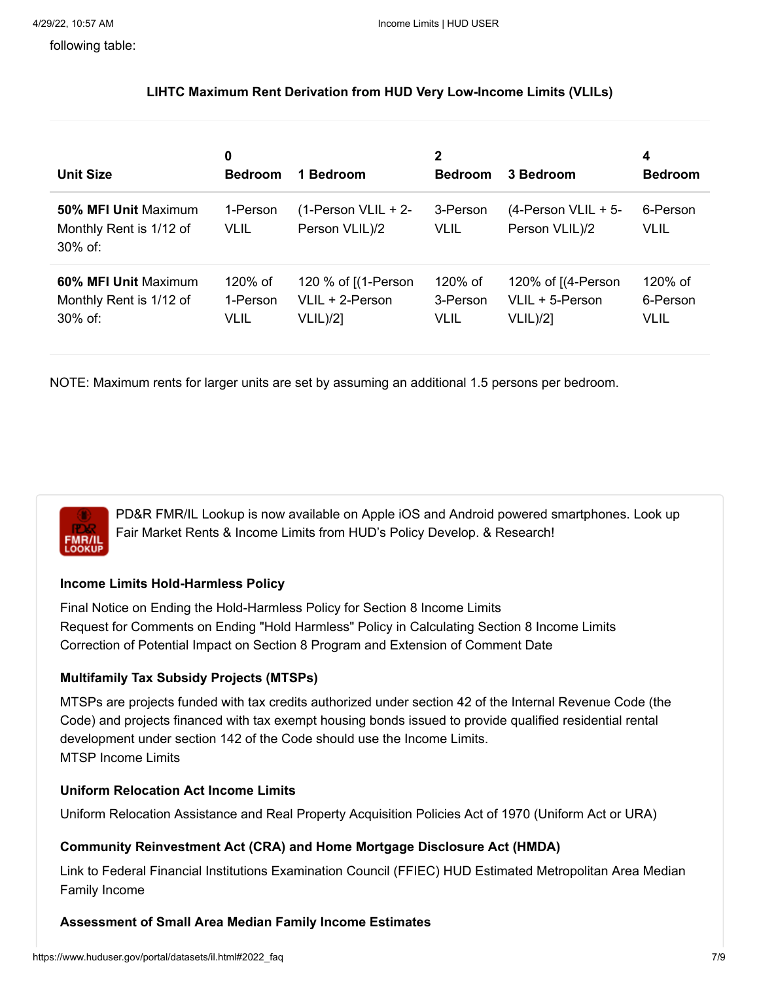### **LIHTC Maximum Rent Derivation from HUD Very Low-Income Limits (VLILs)**

| <b>Unit Size</b>                                              | 0<br><b>Bedroom</b>                | 1 Bedroom                                                   | $\overline{2}$<br><b>Bedroom</b>   | 3 Bedroom                                                  | 4<br><b>Bedroom</b>                |
|---------------------------------------------------------------|------------------------------------|-------------------------------------------------------------|------------------------------------|------------------------------------------------------------|------------------------------------|
| 50% MFI Unit Maximum<br>Monthly Rent is 1/12 of<br>$30\%$ of: | 1-Person<br><b>VLIL</b>            | $(1-Person VLL + 2-$<br>Person VLIL)/2                      | 3-Person<br><b>VLIL</b>            | $(4$ -Person VLIL + 5-<br>Person VLIL)/2                   | 6-Person<br><b>VLIL</b>            |
| 60% MFI Unit Maximum<br>Monthly Rent is 1/12 of<br>$30\%$ of: | 120% of<br>1-Person<br><b>VLIL</b> | 120 % of [(1-Person<br>$VLL + 2$ -Person<br><b>VLIL)/21</b> | 120% of<br>3-Person<br><b>VLIL</b> | 120% of $[(4-Person$<br>VLIL + 5-Person<br><b>VLIL)/21</b> | 120% of<br>6-Person<br><b>VLIL</b> |

NOTE: Maximum rents for larger units are set by assuming an additional 1.5 persons per bedroom.

[P](https://www.huduser.gov/portal/pdr_mobile.html)D&R FMR/IL Lookup is [now available](https://www.huduser.gov/portal/pdr_mobile.html) on Apple iOS and Android powered smartphones. Look up Fair Market Rents & Income Limits from HUD's Policy Develop. & Research!

### **Income Limits Hold-Harmless Policy**

[Final Notice on Ending the Hold-Harmless Policy for Section 8 Income Limits](https://www.huduser.gov/portal/datasets/il/ILHH_%20Final.pdf) [Request for Comments on Ending "Hold Harmless" Policy in Calculating Section 8 Income Limits](https://www.huduser.gov/portal/datasets/il/incomelimits_hh_fr.pdf) [Correction of Potential Impact on Section 8 Program and Extension of Comment Date](https://www.huduser.gov/portal/datasets/il/Hold%20Harmless_Correction_Blanks.pdf)

### **Multifamily Tax Subsidy Projects (MTSPs)**

MTSPs are projects funded with tax credits authorized under section 42 of the Internal Revenue Code (the Code) and projects financed with tax exempt housing bonds issued to provide qualified residential rental development under section 142 of the Code should use the Income Limits. [MTSP Income Limits](https://www.huduser.gov/portal/datasets/mtsp.html)

### **Uniform Relocation Act Income Limits**

[Uniform Relocation Assistance and Real Property Acquisition Policies Act of 1970 \(Uniform Act or URA\)](https://www.huduser.gov/portal/datasets/ura.html)

### **Community Reinvestment Act (CRA) and Home Mortgage Disclosure Act (HMDA)**

[Link to Federal Financial Institutions Examination Council \(FFIEC\) HUD Estimated Metropolitan Area Median](http://www.ffiec.gov/hmda/censusproducts.htm#MSAincome) Family Income

### **Assessment of Small Area Median Family Income Estimates**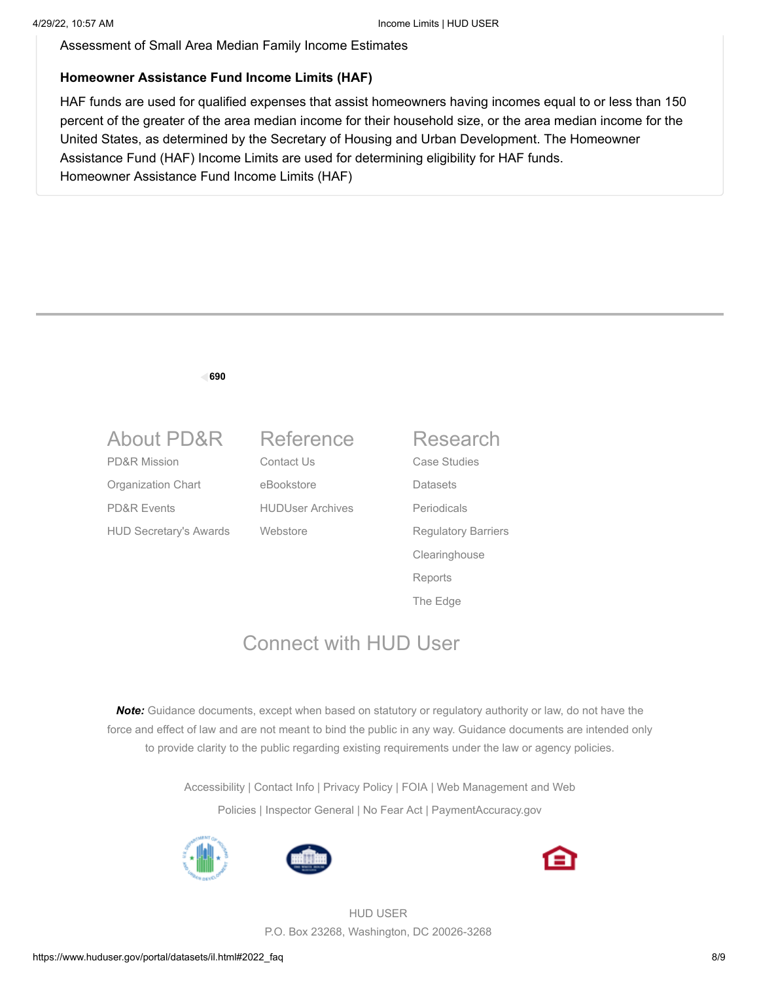[Assessment of Small Area Median Family Income Estimates](https://www.huduser.gov/portal/publications/sa-medianfamily-income-estimates.html)

#### **Homeowner Assistance Fund Income Limits (HAF)**

HAF funds are used for qualified expenses that assist homeowners having incomes equal to or less than 150 percent of the greater of the area median income for their household size, or the area median income for the [United States, as determined by the Secretary of Housing and Urban Development. The Homeowner](https://www.congress.gov/bill/117th-congress/house-bill/1319/text#toc-H50B3CAA839764CBDBC95BB7B26C0F8E8) Assistance Fund (HAF) Income Limits are used for determining eligibility for HAF funds. [Homeowner Assistance Fund Income Limits \(HAF\)](https://www.huduser.gov/portal/datasets/haf-il.html)



**Note:** Guidance documents, except when based on statutory or regulatory authority or law, do not have the force and effect of law and are not meant to bind the public in any way. Guidance documents are intended only to provide clarity to the public regarding existing requirements under the law or agency policies.

> [Accessibility](http://portal.hud.gov/hudportal/HUD?src=/accessibility) | [Contact Info](http://portal.hud.gov/hudportal/HUD?src=/contact) | [Privacy Policy](http://portal.hud.gov/hudportal/HUD?src=/privacy_policy) | [FOIA](http://portal.hud.gov/hudportal/HUD?src=/program_offices/administration/foia) | [Web Management and Web](http://portal.hud.gov/hudportal/HUD?src=/library/bookshelf11) Policies | [Inspector General](https://www.hudoig.gov/) | [No Fear Act](http://portal.hud.gov/hudportal/HUD?src=/program_offices/eeo/nofearactfy) | [PaymentAccuracy.gov](http://www.paymentaccuracy.gov/)







HUD USER P.O. Box 23268, Washington, DC 20026-3268